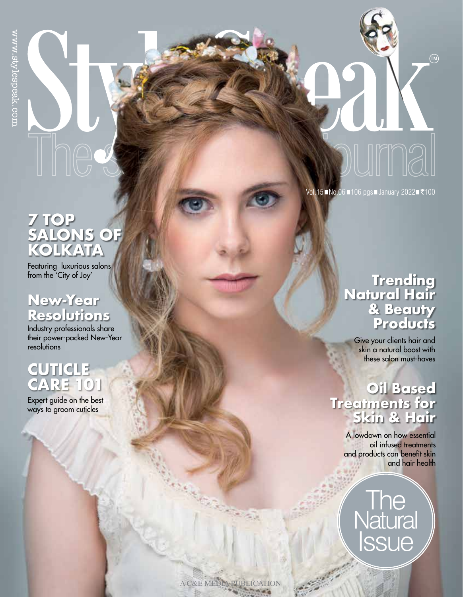# The

#### Vol.15 No.06 106 pgs January 2022 ₹100

ILIMA.

 $(m)$ 

# **7 TOP SALONS OF KOLKATA**

Featuring luxurious salons from the 'City of Joy'

## **New-Year Resolutions**

Industry professionals share their power-packed New-Year resolutions

# **CUTICLE**

Expert guide on the best ways to groom cuticles

### **Trending Natural Hair & Beauty Products**

Give your clients hair and skin a natural boost with these salon must-haves

# **Oil Based Treatments for Skin & Hair**

A lowdown on how essential oil infused treatments and products can benefit skin and hair health

**Natural** Issue **The** 

A C&E MEDIA PUBLICATION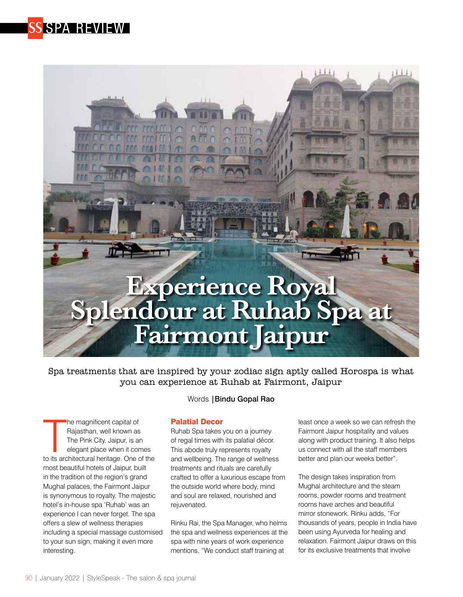



Spa treatments that are inspired by your zodiac sign aptly called Horospa is what you can experience at Ruhab at Fairmont, Jaipur

The magnificent capital of<br>
Rajasthan, well known as<br>
The Pink City, Jaipur, is an<br>
elegant place when it comes<br>
to its architectural heritage. One of the he magnificent capital of Rajasthan, well known as The Pink City, Jaipur, is an elegant place when it comes most beautiful hotels of Jaipur, built in the tradition of the region's grand Mughal palaces, the Fairmont Jaipur is synonymous to royalty. The majestic hotel's in-house spa 'Ruhab' was an experience I can never forget. The spa offers a slew of wellness therapies including a special massage customised to your sun sign, making it even more interesting.

#### Words |Bindu Gopal Rao

#### Palatial Decor

Ruhab Spa takes you on a journey of regal times with its palatial décor. This abode truly represents royalty and wellbeing. The range of wellness treatments and rituals are carefully crafted to offer a luxurious escape from the outside world where body, mind and soul are relaxed, nourished and rejuvenated.

Rinku Rai, the Spa Manager, who helms the spa and wellness experiences at the spa with nine years of work experience mentions, "We conduct staff training at

least once a week so we can refresh the Fairmont Jaipur hospitality and values along with product training. It also helps us connect with all the staff members better and plan our weeks better".

The design takes inspiration from Mughal architecture and the steam rooms, powder rooms and treatment rooms have arches and beautiful mirror stonework. Rinku adds, "For thousands of years, people in India have been using Ayurveda for healing and relaxation. Fairmont Jaipur draws on this for its exclusive treatments that involve